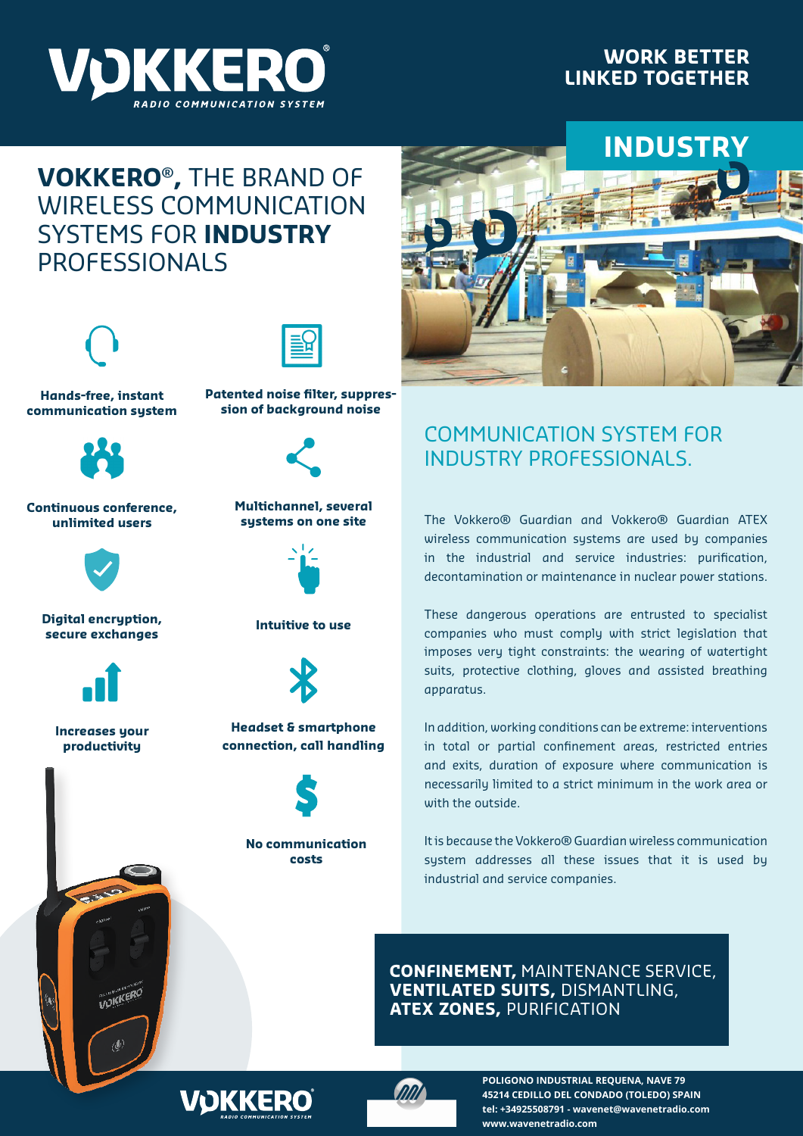

### **WORK BETTER LINKED TOGETHER**

# **VOKKERO® ,** THE BRAND OF WIRELESS COMMUNICATION SYSTEMS FOR **INDUSTRY** PROFESSIONALS





**Hands-free, instant communication system**



**Continuous conference, unlimited users**



**Intuitive to use Digital encryption, secure exchanges**



**Increases your productivity**

**CANCE** 

**UDKKERO** 



**Patented noise filter, suppression of background noise**



**Multichannel, several systems on one site**





**Headset & smartphone connection, call handling**



**No communication costs**



## COMMUNICATION SYSTEM FOR INDUSTRY PROFESSIONALS.

The Vokkero® Guardian and Vokkero® Guardian ATEX wireless communication systems are used by companies in the industrial and service industries: purification, decontamination or maintenance in nuclear power stations.

These dangerous operations are entrusted to specialist companies who must comply with strict legislation that imposes very tight constraints: the wearing of watertight suits, protective clothing, gloves and assisted breathing apparatus.

In addition, working conditions can be extreme: interventions in total or partial confinement areas, restricted entries and exits, duration of exposure where communication is necessarily limited to a strict minimum in the work area or with the outside.

It is because the Vokkero® Guardian wireless communication system addresses all these issues that it is used by industrial and service companies.

**CONFINEMENT,** MAINTENANCE SERVICE, **VENTILATED SUITS,** DISMANTLING, **ATEX ZONES,** PURIFICATION





**POLIGONO INDUSTRIAL REQUENA, NAVE 79 45214 CEDILLO DEL CONDADO (TOLEDO) SPAIN tel: +34925508791 - wavenet@wavenetradio.com www.wavenetradio.com**